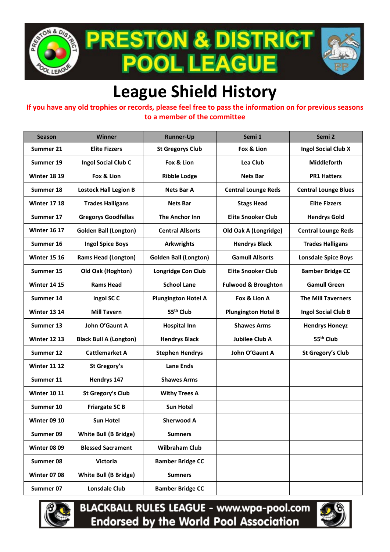

**PRESTON & DISTRICT . LEAGUE POOI** 



## **League Shield History**

## **If you have any old trophies or records, please feel free to pass the information on for previous seasons to a member of the committee**

| <b>Season</b>       | <b>Winner</b>                 | <b>Runner-Up</b>             | Semi 1                         | Semi <sub>2</sub>           |
|---------------------|-------------------------------|------------------------------|--------------------------------|-----------------------------|
| Summer 21           | <b>Elite Fizzers</b>          | <b>St Gregorys Club</b>      | Fox & Lion                     | <b>Ingol Social Club X</b>  |
| Summer 19           | Ingol Social Club C           | Fox & Lion                   | Lea Club                       | <b>Middleforth</b>          |
| <b>Winter 18 19</b> | Fox & Lion                    | <b>Ribble Lodge</b>          | <b>Nets Bar</b>                | <b>PR1 Hatters</b>          |
| Summer 18           | <b>Lostock Hall Legion B</b>  | <b>Nets Bar A</b>            | <b>Central Lounge Reds</b>     | <b>Central Lounge Blues</b> |
| <b>Winter 17 18</b> | <b>Trades Halligans</b>       | <b>Nets Bar</b>              | <b>Stags Head</b>              | <b>Elite Fizzers</b>        |
| Summer 17           | <b>Gregorys Goodfellas</b>    | The Anchor Inn               | <b>Elite Snooker Club</b>      | <b>Hendrys Gold</b>         |
| <b>Winter 16 17</b> | <b>Golden Ball (Longton)</b>  | <b>Central Allsorts</b>      | Old Oak A (Longridge)          | <b>Central Lounge Reds</b>  |
| Summer 16           | <b>Ingol Spice Boys</b>       | <b>Arkwrights</b>            | <b>Hendrys Black</b>           | <b>Trades Halligans</b>     |
| <b>Winter 15 16</b> | <b>Rams Head (Longton)</b>    | <b>Golden Ball (Longton)</b> | <b>Gamull Allsorts</b>         | <b>Lonsdale Spice Boys</b>  |
| Summer 15           | Old Oak (Hoghton)             | Longridge Con Club           | <b>Elite Snooker Club</b>      | <b>Bamber Bridge CC</b>     |
| <b>Winter 14 15</b> | <b>Rams Head</b>              | <b>School Lane</b>           | <b>Fulwood &amp; Broughton</b> | <b>Gamull Green</b>         |
| Summer 14           | Ingol SC C                    | <b>Plungington Hotel A</b>   | Fox & Lion A                   | <b>The Mill Taverners</b>   |
| <b>Winter 13 14</b> | <b>Mill Tavern</b>            | 55 <sup>th</sup> Club        | <b>Plungington Hotel B</b>     | <b>Ingol Social Club B</b>  |
| Summer 13           | John O'Gaunt A                | <b>Hospital Inn</b>          | <b>Shawes Arms</b>             | <b>Hendrys Honeyz</b>       |
| <b>Winter 12 13</b> | <b>Black Bull A (Longton)</b> | <b>Hendrys Black</b>         | <b>Jubilee Club A</b>          | 55 <sup>th</sup> Club       |
| Summer 12           | <b>Cattlemarket A</b>         | <b>Stephen Hendrys</b>       | John O'Gaunt A                 | St Gregory's Club           |
| <b>Winter 11 12</b> | St Gregory's                  | <b>Lane Ends</b>             |                                |                             |
| Summer 11           | Hendrys 147                   | <b>Shawes Arms</b>           |                                |                             |
| <b>Winter 10 11</b> | St Gregory's Club             | <b>Withy Trees A</b>         |                                |                             |
| Summer 10           | <b>Friargate SC B</b>         | <b>Sun Hotel</b>             |                                |                             |
| <b>Winter 09 10</b> | Sun Hotel                     | <b>Sherwood A</b>            |                                |                             |
| Summer 09           | <b>White Bull (B Bridge)</b>  | <b>Sumners</b>               |                                |                             |
| <b>Winter 08 09</b> | <b>Blessed Sacrament</b>      | <b>Wilbraham Club</b>        |                                |                             |
| Summer 08           | <b>Victoria</b>               | <b>Bamber Bridge CC</b>      |                                |                             |
| <b>Winter 07 08</b> | <b>White Bull (B Bridge)</b>  | <b>Sumners</b>               |                                |                             |
| Summer 07           | <b>Lonsdale Club</b>          | <b>Bamber Bridge CC</b>      |                                |                             |



**BLACKBALL RULES LEAGUE - www.wpa-pool.com Endorsed by the World Pool Association**